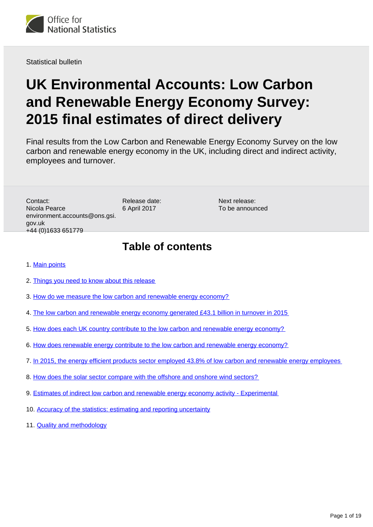

Statistical bulletin

# **UK Environmental Accounts: Low Carbon and Renewable Energy Economy Survey: 2015 final estimates of direct delivery**

Final results from the Low Carbon and Renewable Energy Economy Survey on the low carbon and renewable energy economy in the UK, including direct and indirect activity, employees and turnover.

Contact: Nicola Pearce environment.accounts@ons.gsi. gov.uk +44 (0)1633 651779

Release date: 6 April 2017

Next release: To be announced

### **Table of contents**

- 1. [Main points](#page-1-0)
- 2. [Things you need to know about this release](#page-1-1)
- 3. [How do we measure the low carbon and renewable energy economy?](#page-2-0)
- 4. [The low carbon and renewable energy economy generated £43.1 billion in turnover in 2015](#page-3-0)
- 5. [How does each UK country contribute to the low carbon and renewable energy economy?](#page-4-0)
- 6. [How does renewable energy contribute to the low carbon and renewable energy economy?](#page-6-0)
- 7. [In 2015, the energy efficient products sector employed 43.8% of low carbon and renewable energy employees](#page-7-0)
- 8. [How does the solar sector compare with the offshore and onshore wind sectors?](#page-10-0)
- 9. [Estimates of indirect low carbon and renewable energy economy activity Experimental](#page-14-0)
- 10. [Accuracy of the statistics: estimating and reporting uncertainty](#page-17-0)
- 11. [Quality and methodology](#page-17-1)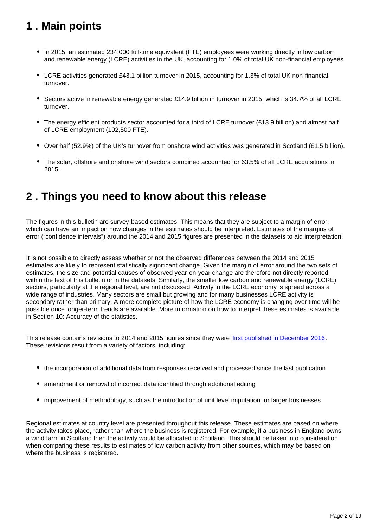## <span id="page-1-0"></span>**1 . Main points**

- In 2015, an estimated 234,000 full-time equivalent (FTE) employees were working directly in low carbon and renewable energy (LCRE) activities in the UK, accounting for 1.0% of total UK non-financial employees.
- LCRE activities generated £43.1 billion turnover in 2015, accounting for 1.3% of total UK non-financial turnover.
- Sectors active in renewable energy generated £14.9 billion in turnover in 2015, which is 34.7% of all LCRE turnover.
- The energy efficient products sector accounted for a third of LCRE turnover (£13.9 billion) and almost half of LCRE employment (102,500 FTE).
- Over half (52.9%) of the UK's turnover from onshore wind activities was generated in Scotland (£1.5 billion).
- The solar, offshore and onshore wind sectors combined accounted for 63.5% of all LCRE acquisitions in 2015.

## <span id="page-1-1"></span>**2 . Things you need to know about this release**

The figures in this bulletin are survey-based estimates. This means that they are subject to a margin of error, which can have an impact on how changes in the estimates should be interpreted. Estimates of the margins of error ("confidence intervals") around the 2014 and 2015 figures are presented in the datasets to aid interpretation.

It is not possible to directly assess whether or not the observed differences between the 2014 and 2015 estimates are likely to represent statistically significant change. Given the margin of error around the two sets of estimates, the size and potential causes of observed year-on-year change are therefore not directly reported within the text of this bulletin or in the datasets. Similarly, the smaller low carbon and renewable energy (LCRE) sectors, particularly at the regional level, are not discussed. Activity in the LCRE economy is spread across a wide range of industries. Many sectors are small but growing and for many businesses LCRE activity is secondary rather than primary. A more complete picture of how the LCRE economy is changing over time will be possible once longer-term trends are available. More information on how to interpret these estimates is available in Section 10: Accuracy of the statistics.

This release contains revisions to 2014 and 2015 figures since they were [first published in December 2016](https://www.ons.gov.uk/economy/environmentalaccounts/bulletins/finalestimates/2015). These revisions result from a variety of factors, including:

- the incorporation of additional data from responses received and processed since the last publication
- amendment or removal of incorrect data identified through additional editing
- improvement of methodology, such as the introduction of unit level imputation for larger businesses

Regional estimates at country level are presented throughout this release. These estimates are based on where the activity takes place, rather than where the business is registered. For example, if a business in England owns a wind farm in Scotland then the activity would be allocated to Scotland. This should be taken into consideration when comparing these results to estimates of low carbon activity from other sources, which may be based on where the business is registered.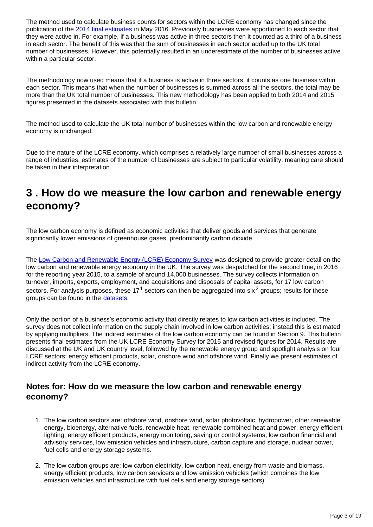The method used to calculate business counts for sectors within the LCRE economy has changed since the publication of the [2014 final estimates](https://www.ons.gov.uk/economy/environmentalaccounts/bulletins/finalestimates/2014) in May 2016. Previously businesses were apportioned to each sector that they were active in. For example, if a business was active in three sectors then it counted as a third of a business in each sector. The benefit of this was that the sum of businesses in each sector added up to the UK total number of businesses. However, this potentially resulted in an underestimate of the number of businesses active within a particular sector.

The methodology now used means that if a business is active in three sectors, it counts as one business within each sector. This means that when the number of businesses is summed across all the sectors, the total may be more than the UK total number of businesses. This new methodology has been applied to both 2014 and 2015 figures presented in the datasets associated with this bulletin.

The method used to calculate the UK total number of businesses within the low carbon and renewable energy economy is unchanged.

Due to the nature of the LCRE economy, which comprises a relatively large number of small businesses across a range of industries, estimates of the number of businesses are subject to particular volatility, meaning care should be taken in their interpretation.

## <span id="page-2-0"></span>**3 . How do we measure the low carbon and renewable energy economy?**

The low carbon economy is defined as economic activities that deliver goods and services that generate significantly lower emissions of greenhouse gases; predominantly carbon dioxide.

The [Low Carbon and Renewable Energy \(LCRE\) Economy Survey](https://www.ons.gov.uk/surveys/informationforbusinesses/businesssurveys/lowcarbonandrenewableenergyeconomysurvey) was designed to provide greater detail on the low carbon and renewable energy economy in the UK. The survey was despatched for the second time, in 2016 for the reporting year 2015, to a sample of around 14,000 businesses. The survey collects information on turnover, imports, exports, employment, and acquisitions and disposals of capital assets, for 17 low carbon sectors. For analysis purposes, these  $17<sup>1</sup>$  sectors can then be aggregated into six<sup>2</sup> groups; results for these groups can be found in the [datasets](https://www.ons.gov.uk/economy/environmentalaccounts/datasets/lowcarbonandrenewableenergyeconomyfirstestimatesdataset).

Only the portion of a business's economic activity that directly relates to low carbon activities is included. The survey does not collect information on the supply chain involved in low carbon activities; instead this is estimated by applying multipliers. The indirect estimates of the low carbon economy can be found in Section 9. This bulletin presents final estimates from the UK LCRE Economy Survey for 2015 and revised figures for 2014. Results are discussed at the UK and UK country level, followed by the renewable energy group and spotlight analysis on four LCRE sectors: energy efficient products, solar, onshore wind and offshore wind. Finally we present estimates of indirect activity from the LCRE economy.

### **Notes for: How do we measure the low carbon and renewable energy economy?**

- 1. The low carbon sectors are: offshore wind, onshore wind, solar photovoltaic, hydropower, other renewable energy, bioenergy, alternative fuels, renewable heat, renewable combined heat and power, energy efficient lighting, energy efficient products, energy monitoring, saving or control systems, low carbon financial and advisory services, low emission vehicles and infrastructure, carbon capture and storage, nuclear power, fuel cells and energy storage systems.
- 2. The low carbon groups are: low carbon electricity, low carbon heat, energy from waste and biomass, energy efficient products, low carbon servicers and low emission vehicles (which combines the low emission vehicles and infrastructure with fuel cells and energy storage sectors).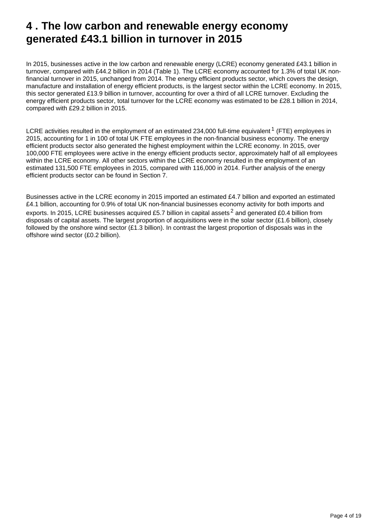## <span id="page-3-0"></span>**4 . The low carbon and renewable energy economy generated £43.1 billion in turnover in 2015**

In 2015, businesses active in the low carbon and renewable energy (LCRE) economy generated £43.1 billion in turnover, compared with £44.2 billion in 2014 (Table 1). The LCRE economy accounted for 1.3% of total UK nonfinancial turnover in 2015, unchanged from 2014. The energy efficient products sector, which covers the design, manufacture and installation of energy efficient products, is the largest sector within the LCRE economy. In 2015, this sector generated £13.9 billion in turnover, accounting for over a third of all LCRE turnover. Excluding the energy efficient products sector, total turnover for the LCRE economy was estimated to be £28.1 billion in 2014, compared with £29.2 billion in 2015.

LCRE activities resulted in the employment of an estimated 234,000 full-time equivalent <sup>1</sup> (FTE) employees in 2015, accounting for 1 in 100 of total UK FTE employees in the non-financial business economy. The energy efficient products sector also generated the highest employment within the LCRE economy. In 2015, over 100,000 FTE employees were active in the energy efficient products sector, approximately half of all employees within the LCRE economy. All other sectors within the LCRE economy resulted in the employment of an estimated 131,500 FTE employees in 2015, compared with 116,000 in 2014. Further analysis of the energy efficient products sector can be found in Section 7.

Businesses active in the LCRE economy in 2015 imported an estimated £4.7 billion and exported an estimated £4.1 billion, accounting for 0.9% of total UK non-financial businesses economy activity for both imports and exports. In 2015, LCRE businesses acquired £5.7 billion in capital assets<sup>2</sup> and generated £0.4 billion from disposals of capital assets. The largest proportion of acquisitions were in the solar sector (£1.6 billion), closely followed by the onshore wind sector (£1.3 billion). In contrast the largest proportion of disposals was in the offshore wind sector (£0.2 billion).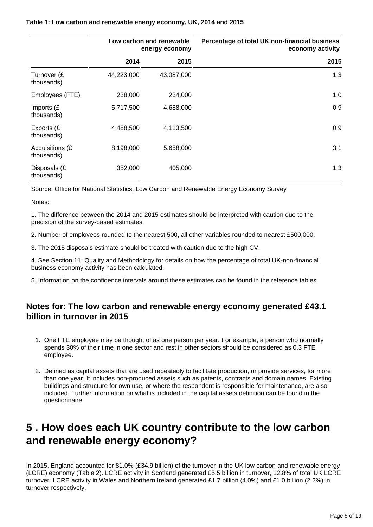|                               | Low carbon and renewable<br>energy economy |            | Percentage of total UK non-financial business<br>economy activity |
|-------------------------------|--------------------------------------------|------------|-------------------------------------------------------------------|
|                               | 2014                                       | 2015       | 2015                                                              |
| Turnover (£<br>thousands)     | 44,223,000                                 | 43,087,000 | 1.3                                                               |
| Employees (FTE)               | 238,000                                    | 234,000    | 1.0                                                               |
| Imports (£<br>thousands)      | 5,717,500                                  | 4,688,000  | 0.9                                                               |
| Exports (£<br>thousands)      | 4,488,500                                  | 4,113,500  | 0.9                                                               |
| Acquisitions (£<br>thousands) | 8,198,000                                  | 5,658,000  | 3.1                                                               |
| Disposals (£<br>thousands)    | 352,000                                    | 405,000    | 1.3                                                               |

#### **Table 1: Low carbon and renewable energy economy, UK, 2014 and 2015**

Source: Office for National Statistics, Low Carbon and Renewable Energy Economy Survey

Notes:

1. The difference between the 2014 and 2015 estimates should be interpreted with caution due to the precision of the survey-based estimates.

2. Number of employees rounded to the nearest 500, all other variables rounded to nearest £500,000.

3. The 2015 disposals estimate should be treated with caution due to the high CV.

4. See Section 11: Quality and Methodology for details on how the percentage of total UK-non-financial business economy activity has been calculated.

5. Information on the confidence intervals around these estimates can be found in the reference tables.

### **Notes for: The low carbon and renewable energy economy generated £43.1 billion in turnover in 2015**

- 1. One FTE employee may be thought of as one person per year. For example, a person who normally spends 30% of their time in one sector and rest in other sectors should be considered as 0.3 FTE employee.
- 2. Defined as capital assets that are used repeatedly to facilitate production, or provide services, for more than one year. It includes non-produced assets such as patents, contracts and domain names. Existing buildings and structure for own use, or where the respondent is responsible for maintenance, are also included. Further information on what is included in the capital assets definition can be found in the questionnaire.

## <span id="page-4-0"></span>**5 . How does each UK country contribute to the low carbon and renewable energy economy?**

In 2015, England accounted for 81.0% (£34.9 billion) of the turnover in the UK low carbon and renewable energy (LCRE) economy (Table 2). LCRE activity in Scotland generated £5.5 billion in turnover, 12.8% of total UK LCRE turnover. LCRE activity in Wales and Northern Ireland generated £1.7 billion (4.0%) and £1.0 billion (2.2%) in turnover respectively.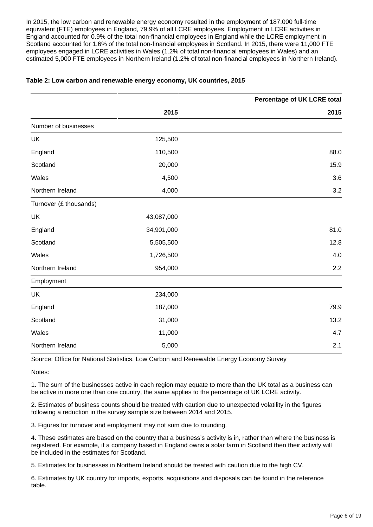In 2015, the low carbon and renewable energy economy resulted in the employment of 187,000 full-time equivalent (FTE) employees in England, 79.9% of all LCRE employees. Employment in LCRE activities in England accounted for 0.9% of the total non-financial employees in England while the LCRE employment in Scotland accounted for 1.6% of the total non-financial employees in Scotland. In 2015, there were 11,000 FTE employees engaged in LCRE activities in Wales (1.2% of total non-financial employees in Wales) and an estimated 5,000 FTE employees in Northern Ireland (1.2% of total non-financial employees in Northern Ireland).

|                        |            | Percentage of UK LCRE total |
|------------------------|------------|-----------------------------|
|                        | 2015       | 2015                        |
| Number of businesses   |            |                             |
| UK                     | 125,500    |                             |
| England                | 110,500    | 88.0                        |
| Scotland               | 20,000     | 15.9                        |
| Wales                  | 4,500      | 3.6                         |
| Northern Ireland       | 4,000      | 3.2                         |
| Turnover (£ thousands) |            |                             |
| <b>UK</b>              | 43,087,000 |                             |
| England                | 34,901,000 | 81.0                        |
| Scotland               | 5,505,500  | 12.8                        |
| Wales                  | 1,726,500  | 4.0                         |
| Northern Ireland       | 954,000    | 2.2                         |
| Employment             |            |                             |
| UK                     | 234,000    |                             |
| England                | 187,000    | 79.9                        |
| Scotland               | 31,000     | 13.2                        |
| Wales                  | 11,000     | 4.7                         |
| Northern Ireland       | 5,000      | 2.1                         |

#### **Table 2: Low carbon and renewable energy economy, UK countries, 2015**

Source: Office for National Statistics, Low Carbon and Renewable Energy Economy Survey

Notes:

1. The sum of the businesses active in each region may equate to more than the UK total as a business can be active in more one than one country, the same applies to the percentage of UK LCRE activity.

2. Estimates of business counts should be treated with caution due to unexpected volatility in the figures following a reduction in the survey sample size between 2014 and 2015.

3. Figures for turnover and employment may not sum due to rounding.

4. These estimates are based on the country that a business's activity is in, rather than where the business is registered. For example, if a company based in England owns a solar farm in Scotland then their activity will be included in the estimates for Scotland.

5. Estimates for businesses in Northern Ireland should be treated with caution due to the high CV.

6. Estimates by UK country for imports, exports, acquisitions and disposals can be found in the reference table.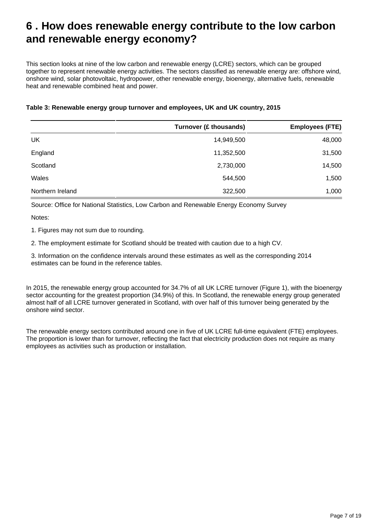## <span id="page-6-0"></span>**6 . How does renewable energy contribute to the low carbon and renewable energy economy?**

This section looks at nine of the low carbon and renewable energy (LCRE) sectors, which can be grouped together to represent renewable energy activities. The sectors classified as renewable energy are: offshore wind, onshore wind, solar photovoltaic, hydropower, other renewable energy, bioenergy, alternative fuels, renewable heat and renewable combined heat and power.

| Table 3: Renewable energy group turnover and employees, UK and UK country, 2015 |  |  |
|---------------------------------------------------------------------------------|--|--|
|                                                                                 |  |  |

|                  | Turnover (£ thousands) | <b>Employees (FTE)</b> |
|------------------|------------------------|------------------------|
| UK               | 14,949,500             | 48,000                 |
| England          | 11,352,500             | 31,500                 |
| Scotland         | 2,730,000              | 14,500                 |
| Wales            | 544,500                | 1,500                  |
| Northern Ireland | 322,500                | 1,000                  |

Source: Office for National Statistics, Low Carbon and Renewable Energy Economy Survey

Notes:

1. Figures may not sum due to rounding.

2. The employment estimate for Scotland should be treated with caution due to a high CV.

3. Information on the confidence intervals around these estimates as well as the corresponding 2014 estimates can be found in the reference tables.

In 2015, the renewable energy group accounted for 34.7% of all UK LCRE turnover (Figure 1), with the bioenergy sector accounting for the greatest proportion (34.9%) of this. In Scotland, the renewable energy group generated almost half of all LCRE turnover generated in Scotland, with over half of this turnover being generated by the onshore wind sector.

The renewable energy sectors contributed around one in five of UK LCRE full-time equivalent (FTE) employees. The proportion is lower than for turnover, reflecting the fact that electricity production does not require as many employees as activities such as production or installation.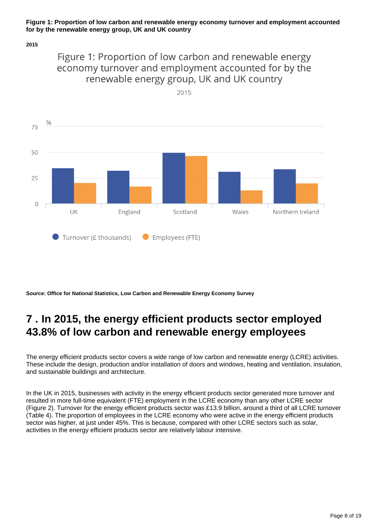#### **Figure 1: Proportion of low carbon and renewable energy economy turnover and employment accounted for by the renewable energy group, UK and UK country**

#### **2015**

### Figure 1: Proportion of low carbon and renewable energy economy turnover and employment accounted for by the renewable energy group, UK and UK country





**Source: Office for National Statistics, Low Carbon and Renewable Energy Economy Survey**

## <span id="page-7-0"></span>**7 . In 2015, the energy efficient products sector employed 43.8% of low carbon and renewable energy employees**

The energy efficient products sector covers a wide range of low carbon and renewable energy (LCRE) activities. These include the design, production and/or installation of doors and windows, heating and ventilation, insulation, and sustainable buildings and architecture.

In the UK in 2015, businesses with activity in the energy efficient products sector generated more turnover and resulted in more full-time equivalent (FTE) employment in the LCRE economy than any other LCRE sector (Figure 2). Turnover for the energy efficient products sector was £13.9 billion, around a third of all LCRE turnover (Table 4). The proportion of employees in the LCRE economy who were active in the energy efficient products sector was higher, at just under 45%. This is because, compared with other LCRE sectors such as solar, activities in the energy efficient products sector are relatively labour intensive.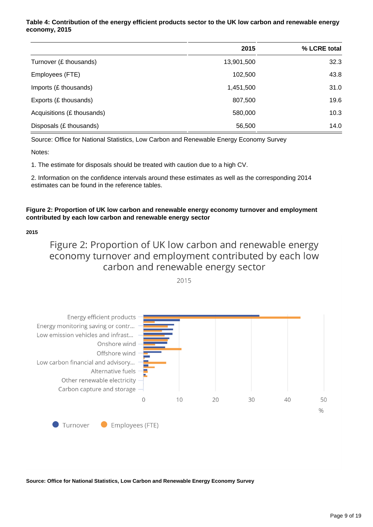#### **Table 4: Contribution of the energy efficient products sector to the UK low carbon and renewable energy economy, 2015**

|                            | 2015       | % LCRE total |
|----------------------------|------------|--------------|
| Turnover (£ thousands)     | 13,901,500 | 32.3         |
| Employees (FTE)            | 102,500    | 43.8         |
| Imports (£ thousands)      | 1,451,500  | 31.0         |
| Exports (£ thousands)      | 807,500    | 19.6         |
| Acquisitions (£ thousands) | 580,000    | 10.3         |
| Disposals (£ thousands)    | 56,500     | 14.0         |

Source: Office for National Statistics, Low Carbon and Renewable Energy Economy Survey

Notes:

1. The estimate for disposals should be treated with caution due to a high CV.

2. Information on the confidence intervals around these estimates as well as the corresponding 2014 estimates can be found in the reference tables.

#### **Figure 2: Proportion of UK low carbon and renewable energy economy turnover and employment contributed by each low carbon and renewable energy sector**

**2015**

Figure 2: Proportion of UK low carbon and renewable energy economy turnover and employment contributed by each low carbon and renewable energy sector



2015

**Source: Office for National Statistics, Low Carbon and Renewable Energy Economy Survey**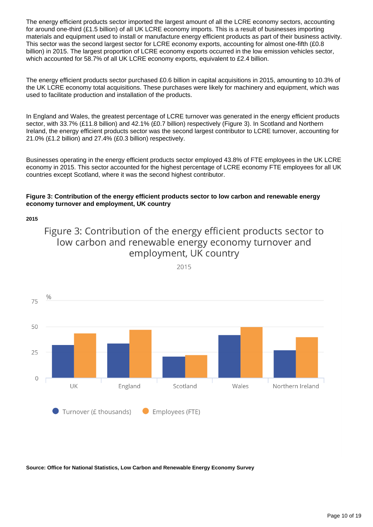The energy efficient products sector imported the largest amount of all the LCRE economy sectors, accounting for around one-third (£1.5 billion) of all UK LCRE economy imports. This is a result of businesses importing materials and equipment used to install or manufacture energy efficient products as part of their business activity. This sector was the second largest sector for LCRE economy exports, accounting for almost one-fifth (£0.8 billion) in 2015. The largest proportion of LCRE economy exports occurred in the low emission vehicles sector, which accounted for 58.7% of all UK LCRE economy exports, equivalent to £2.4 billion.

The energy efficient products sector purchased £0.6 billion in capital acquisitions in 2015, amounting to 10.3% of the UK LCRE economy total acquisitions. These purchases were likely for machinery and equipment, which was used to facilitate production and installation of the products.

In England and Wales, the greatest percentage of LCRE turnover was generated in the energy efficient products sector, with 33.7% (£11.8 billion) and 42.1% (£0.7 billion) respectively (Figure 3). In Scotland and Northern Ireland, the energy efficient products sector was the second largest contributor to LCRE turnover, accounting for 21.0% (£1.2 billion) and 27.4% (£0.3 billion) respectively.

Businesses operating in the energy efficient products sector employed 43.8% of FTE employees in the UK LCRE economy in 2015. This sector accounted for the highest percentage of LCRE economy FTE employees for all UK countries except Scotland, where it was the second highest contributor.

#### **Figure 3: Contribution of the energy efficient products sector to low carbon and renewable energy economy turnover and employment, UK country**

**2015**

### Figure 3: Contribution of the energy efficient products sector to low carbon and renewable energy economy turnover and employment, UK country



2015

**Source: Office for National Statistics, Low Carbon and Renewable Energy Economy Survey**

Page 10 of 19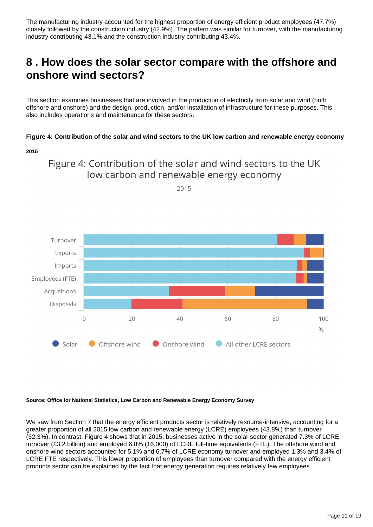The manufacturing industry accounted for the highest proportion of energy efficient product employees (47.7%) closely followed by the construction industry (42.9%). The pattern was similar for turnover, with the manufacturing industry contributing 43.1% and the construction industry contributing 43.4%.

## <span id="page-10-0"></span>**8 . How does the solar sector compare with the offshore and onshore wind sectors?**

This section examines businesses that are involved in the production of electricity from solar and wind (both offshore and onshore) and the design, production, and/or installation of infrastructure for these purposes. This also includes operations and maintenance for these sectors.

#### **Figure 4: Contribution of the solar and wind sectors to the UK low carbon and renewable energy economy**

```
2015
```
### Figure 4: Contribution of the solar and wind sectors to the UK low carbon and renewable energy economy



2015

#### **Source: Office for National Statistics, Low Carbon and Renewable Energy Economy Survey**

We saw from Section 7 that the energy efficient products sector is relatively resource-intensive, accounting for a greater proportion of all 2015 low carbon and renewable energy (LCRE) employees (43.8%) than turnover (32.3%). In contrast, Figure 4 shows that in 2015, businesses active in the solar sector generated 7.3% of LCRE turnover (£3.2 billion) and employed 6.8% (16,000) of LCRE full-time equivalents (FTE). The offshore wind and onshore wind sectors accounted for 5.1% and 6.7% of LCRE economy turnover and employed 1.3% and 3.4% of LCRE FTE respectively. This lower proportion of employees than turnover compared with the energy efficient products sector can be explained by the fact that energy generation requires relatively few employees.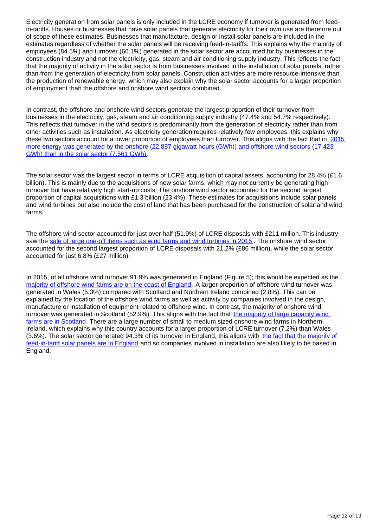Electricity generation from solar panels is only included in the LCRE economy if turnover is generated from feedin-tariffs. Houses or businesses that have solar panels that generate electricity for their own use are therefore out of scope of these estimates. Businesses that manufacture, design or install solar panels are included in the estimates regardless of whether the solar panels will be receiving feed-in-tariffs. This explains why the majority of employees (84.5%) and turnover (66.1%) generated in the solar sector are accounted for by businesses in the construction industry and not the electricity, gas, steam and air conditioning supply industry. This reflects the fact that the majority of activity in the solar sector is from businesses involved in the installation of solar panels, rather than from the generation of electricity from solar panels. Construction activities are more resource-intensive than the production of renewable energy, which may also explain why the solar sector accounts for a larger proportion of employment than the offshore and onshore wind sectors combined.

In contrast, the offshore and onshore wind sectors generate the largest proportion of their turnover from businesses in the electricity, gas, steam and air conditioning supply industry (47.4% and 54.7% respectively). This reflects that turnover in the wind sectors is predominantly from the generation of electricity rather than from other activities such as installation. As electricity generation requires relatively few employees, this explains why these two sectors account for a lower proportion of employees than turnover. This aligns with the fact that in 2015 more energy was generated by the onshore (22,887 gigawatt hours (GWh)) and offshore wind sectors (17,423 [GWh\) than in the solar sector \(7,561 GWh\)](https://www.gov.uk/government/uploads/system/uploads/attachment_data/file/547977/Chapter_6_web.pdf).

The solar sector was the largest sector in terms of LCRE acquisition of capital assets, accounting for 28.4% (£1.6) billion). This is mainly due to the acquisitions of new solar farms, which may not currently be generating high turnover but have relatively high start-up costs. The onshore wind sector accounted for the second largest proportion of capital acquisitions with £1.3 billion (23.4%). These estimates for acquisitions include solar panels and wind turbines but also include the cost of land that has been purchased for the construction of solar and wind farms.

The offshore wind sector accounted for just over half (51.9%) of LCRE disposals with £211 million. This industry saw the [sale of large one-off items such as wind farms and wind turbines in 2015](http://www.scotsman.com/news/centrica-sells-three-wind-farms-in-423m-deal-with-gib-1-4021678). The onshore wind sector accounted for the second largest proportion of LCRE disposals with 21.2% (£86 million), while the solar sector accounted for just 6.8% (£27 million).

In 2015, of all offshore wind turnover 91.9% was generated in England (Figure 5); this would be expected as the [majority of offshore wind farms are on the coast of England](https://www.thecrownestate.co.uk/energy-minerals-and-infrastructure/offshore-wind-energy/offshore-wind-electricity-map/) . A larger proportion of offshore wind turnover was generated in Wales (5.3%) compared with Scotland and Northern Ireland combined (2.8%). This can be explained by the location of the offshore wind farms as well as activity by companies involved in the design, manufacture or installation of equipment related to offshore wind. In contrast, the majority of onshore wind turnover was generated in Scotland (52.9%). This aligns with the fact that [the majority of large capacity wind](https://www.gov.uk/government/collections/digest-of-uk-energy-statistics-dukes)  [farms are in Scotland.](https://www.gov.uk/government/collections/digest-of-uk-energy-statistics-dukes) There are a large number of small to medium sized onshore wind farms in Northern Ireland, which explains why this country accounts for a larger proportion of LCRE turnover (7.2%) than Wales (3.6%). The solar sector generated 94.3% of its turnover in England, this aligns with the fact that the majority of [feed-in-tariff solar panels are in England](https://www.ofgem.gov.uk/system/files/docs/2016/03/fit_annual_report.pdf) and so companies involved in installation are also likely to be based in England.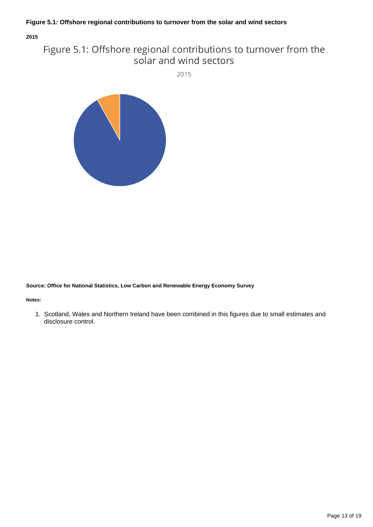#### **Figure 5.1: Offshore regional contributions to turnover from the solar and wind sectors**

**2015**

### Figure 5.1: Offshore regional contributions to turnover from the solar and wind sectors

2015



**Source: Office for National Statistics, Low Carbon and Renewable Energy Economy Survey**

**Notes:**

1. Scotland, Wales and Northern Ireland have been combined in this figures due to small estimates and disclosure control.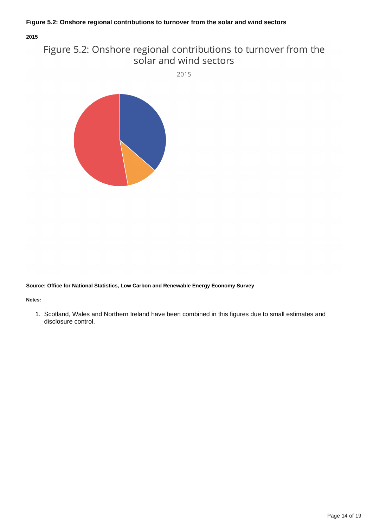#### **Figure 5.2: Onshore regional contributions to turnover from the solar and wind sectors**

**2015**

### Figure 5.2: Onshore regional contributions to turnover from the solar and wind sectors

2015



**Source: Office for National Statistics, Low Carbon and Renewable Energy Economy Survey**

**Notes:**

1. Scotland, Wales and Northern Ireland have been combined in this figures due to small estimates and disclosure control.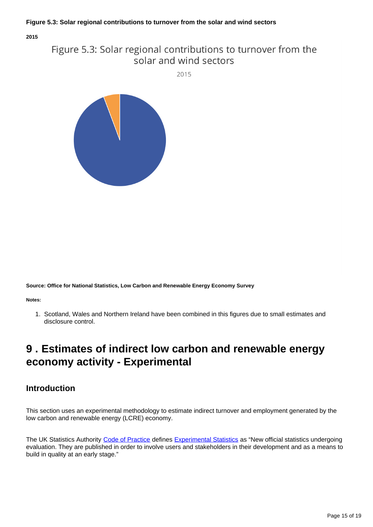**2015**

### Figure 5.3: Solar regional contributions to turnover from the solar and wind sectors

2015



**Source: Office for National Statistics, Low Carbon and Renewable Energy Economy Survey**

**Notes:**

1. Scotland, Wales and Northern Ireland have been combined in this figures due to small estimates and disclosure control.

## <span id="page-14-0"></span>**9 . Estimates of indirect low carbon and renewable energy economy activity - Experimental**

### **Introduction**

This section uses an experimental methodology to estimate indirect turnover and employment generated by the low carbon and renewable energy (LCRE) economy.

The UK Statistics Authority [Code of Practice](https://www.statisticsauthority.gov.uk/publication/code-of-practice/) defines [Experimental Statistics](https://www.ons.gov.uk/methodology/methodologytopicsandstatisticalconcepts/guidetoexperimentalstatistics) as "New official statistics undergoing evaluation. They are published in order to involve users and stakeholders in their development and as a means to build in quality at an early stage."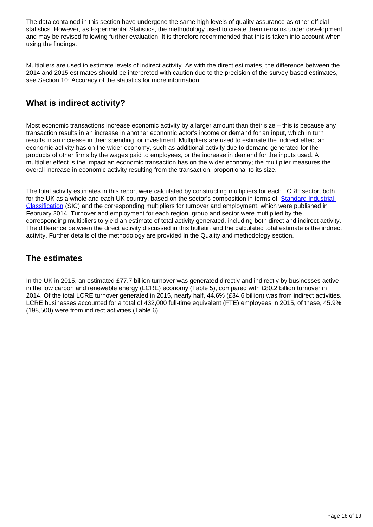The data contained in this section have undergone the same high levels of quality assurance as other official statistics. However, as Experimental Statistics, the methodology used to create them remains under development and may be revised following further evaluation. It is therefore recommended that this is taken into account when using the findings.

Multipliers are used to estimate levels of indirect activity. As with the direct estimates, the difference between the 2014 and 2015 estimates should be interpreted with caution due to the precision of the survey-based estimates, see Section 10: Accuracy of the statistics for more information.

### **What is indirect activity?**

Most economic transactions increase economic activity by a larger amount than their size – this is because any transaction results in an increase in another economic actor's income or demand for an input, which in turn results in an increase in their spending, or investment. Multipliers are used to estimate the indirect effect an economic activity has on the wider economy, such as additional activity due to demand generated for the products of other firms by the wages paid to employees, or the increase in demand for the inputs used. A multiplier effect is the impact an economic transaction has on the wider economy; the multiplier measures the overall increase in economic activity resulting from the transaction, proportional to its size.

The total activity estimates in this report were calculated by constructing multipliers for each LCRE sector, both for the UK as a whole and each UK country, based on the sector's composition in terms of [Standard Industrial](https://www.ons.gov.uk/methodology/classificationsandstandards/ukstandardindustrialclassificationofeconomicactivities/uksic2007)  [Classification](https://www.ons.gov.uk/methodology/classificationsandstandards/ukstandardindustrialclassificationofeconomicactivities/uksic2007) (SIC) and the corresponding multipliers for turnover and employment, which were published in February 2014. Turnover and employment for each region, group and sector were multiplied by the corresponding multipliers to yield an estimate of total activity generated, including both direct and indirect activity. The difference between the direct activity discussed in this bulletin and the calculated total estimate is the indirect activity. Further details of the methodology are provided in the Quality and methodology section.

### **The estimates**

In the UK in 2015, an estimated £77.7 billion turnover was generated directly and indirectly by businesses active in the low carbon and renewable energy (LCRE) economy (Table 5), compared with £80.2 billion turnover in 2014. Of the total LCRE turnover generated in 2015, nearly half, 44.6% (£34.6 billion) was from indirect activities. LCRE businesses accounted for a total of 432,000 full-time equivalent (FTE) employees in 2015, of these, 45.9% (198,500) were from indirect activities (Table 6).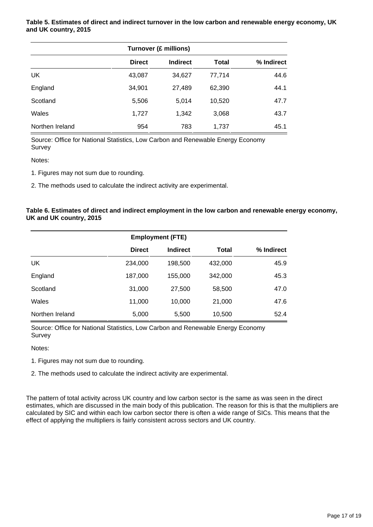**Table 5. Estimates of direct and indirect turnover in the low carbon and renewable energy economy, UK and UK country, 2015**

| <b>Turnover (£ millions)</b> |               |                 |        |            |
|------------------------------|---------------|-----------------|--------|------------|
|                              | <b>Direct</b> | <b>Indirect</b> | Total  | % Indirect |
| UK                           | 43,087        | 34,627          | 77,714 | 44.6       |
| England                      | 34,901        | 27,489          | 62,390 | 44.1       |
| Scotland                     | 5,506         | 5,014           | 10,520 | 47.7       |
| Wales                        | 1,727         | 1,342           | 3,068  | 43.7       |
| Northen Ireland              | 954           | 783             | 1,737  | 45.1       |

Source: Office for National Statistics, Low Carbon and Renewable Energy Economy **Survey** 

Notes:

1. Figures may not sum due to rounding.

2. The methods used to calculate the indirect activity are experimental.

#### **Table 6. Estimates of direct and indirect employment in the low carbon and renewable energy economy, UK and UK country, 2015**

|                 | <b>Employment (FTE)</b> |                 |         |            |
|-----------------|-------------------------|-----------------|---------|------------|
|                 | <b>Direct</b>           | <b>Indirect</b> | Total   | % Indirect |
| UK              | 234,000                 | 198,500         | 432,000 | 45.9       |
| England         | 187,000                 | 155,000         | 342,000 | 45.3       |
| Scotland        | 31,000                  | 27,500          | 58,500  | 47.0       |
| Wales           | 11,000                  | 10,000          | 21,000  | 47.6       |
| Northen Ireland | 5,000                   | 5,500           | 10,500  | 52.4       |

Source: Office for National Statistics, Low Carbon and Renewable Energy Economy **Survey** 

#### Notes:

1. Figures may not sum due to rounding.

2. The methods used to calculate the indirect activity are experimental.

The pattern of total activity across UK country and low carbon sector is the same as was seen in the direct estimates, which are discussed in the main body of this publication. The reason for this is that the multipliers are calculated by SIC and within each low carbon sector there is often a wide range of SICs. This means that the effect of applying the multipliers is fairly consistent across sectors and UK country.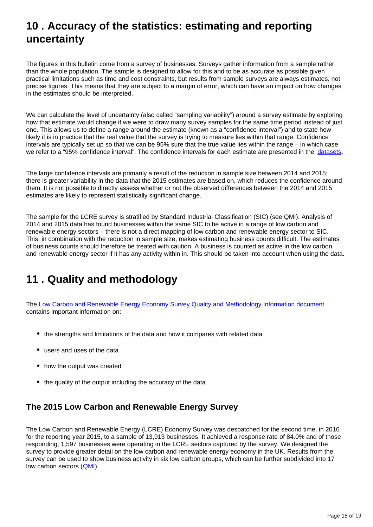## <span id="page-17-0"></span>**10 . Accuracy of the statistics: estimating and reporting uncertainty**

The figures in this bulletin come from a survey of businesses. Surveys gather information from a sample rather than the whole population. The sample is designed to allow for this and to be as accurate as possible given practical limitations such as time and cost constraints, but results from sample surveys are always estimates, not precise figures. This means that they are subject to a margin of error, which can have an impact on how changes in the estimates should be interpreted.

We can calculate the level of uncertainty (also called "sampling variability") around a survey estimate by exploring how that estimate would change if we were to draw many survey samples for the same time period instead of just one. This allows us to define a range around the estimate (known as a "confidence interval") and to state how likely it is in practice that the real value that the survey is trying to measure lies within that range. Confidence intervals are typically set up so that we can be 95% sure that the true value lies within the range – in which case we refer to a "95% confidence interval". The confidence intervals for each estimate are presented in the [datasets](https://www.ons.gov.uk/economy/environmentalaccounts/datasets/lowcarbonandrenewableenergyeconomyfirstestimatesdataset).

The large confidence intervals are primarily a result of the reduction in sample size between 2014 and 2015; there is greater variability in the data that the 2015 estimates are based on, which reduces the confidence around them. It is not possible to directly assess whether or not the observed differences between the 2014 and 2015 estimates are likely to represent statistically significant change.

The sample for the LCRE survey is stratified by Standard Industrial Classification (SIC) (see QMI). Analysis of 2014 and 2015 data has found businesses within the same SIC to be active in a range of low carbon and renewable energy sectors – there is not a direct mapping of low carbon and renewable energy sector to SIC. This, in combination with the reduction in sample size, makes estimating business counts difficult. The estimates of business counts should therefore be treated with caution. A business is counted as active in the low carbon and renewable energy sector if it has any activity within in. This should be taken into account when using the data.

## <span id="page-17-1"></span>**11 . Quality and methodology**

The [Low Carbon and Renewable Energy Economy Survey Quality and Methodology Information document](https://www.ons.gov.uk/economy/environmentalaccounts/qmis/lowcarbonandrenewableenergyeconomylcreesurvey) contains important information on:

- the strengths and limitations of the data and how it compares with related data
- users and uses of the data
- how the output was created
- the quality of the output including the accuracy of the data

### **The 2015 Low Carbon and Renewable Energy Survey**

The Low Carbon and Renewable Energy (LCRE) Economy Survey was despatched for the second time, in 2016 for the reporting year 2015, to a sample of 13,913 businesses. It achieved a response rate of 84.0% and of those responding, 1,597 businesses were operating in the LCRE sectors captured by the survey. We designed the survey to provide greater detail on the low carbon and renewable energy economy in the UK. Results from the survey can be used to show business activity in six low carbon groups, which can be further subdivided into 17 low carbon sectors ([QMI\)](http://www.ons.gov.uk/economy/environmentalaccounts/qmis/lowcarbonandrenewableenergyeconomylcreesurvey).